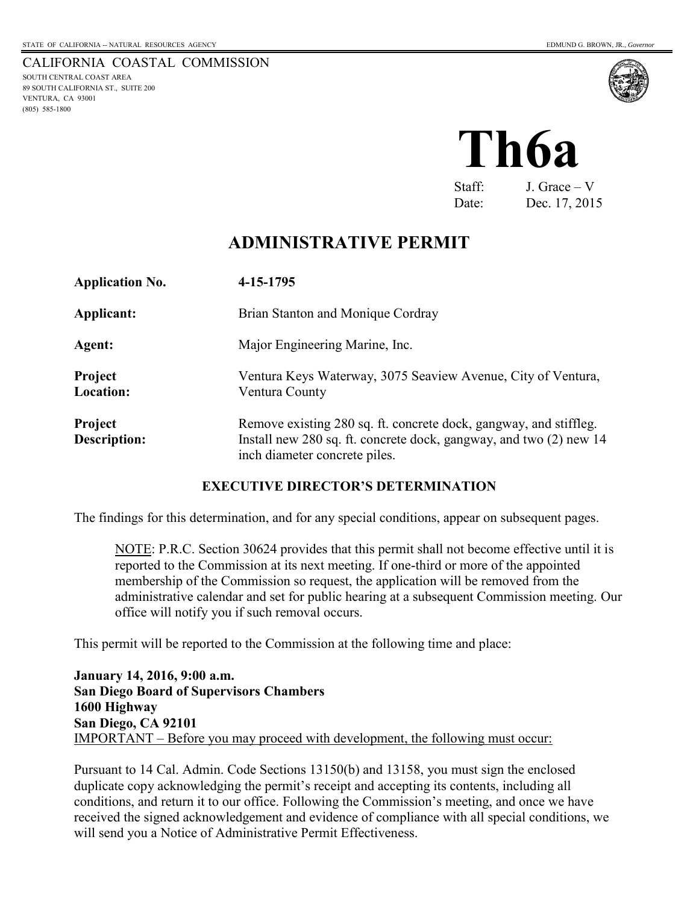CALIFORNIA COASTAL COMMISSION SOUTH CENTRAL COAST AREA 89 SOUTH CALIFORNIA ST., SUITE 200 VENTURA, CA 93001 (805) 585-1800



# **Th6a**

Staff: J. Grace – V Date: Dec. 17, 2015

# **ADMINISTRATIVE PERMIT**

| <b>Application No.</b>         | 4-15-1795                                                                                                                                                                |
|--------------------------------|--------------------------------------------------------------------------------------------------------------------------------------------------------------------------|
| Applicant:                     | Brian Stanton and Monique Cordray                                                                                                                                        |
| Agent:                         | Major Engineering Marine, Inc.                                                                                                                                           |
| <b>Project</b><br>Location:    | Ventura Keys Waterway, 3075 Seaview Avenue, City of Ventura,<br>Ventura County                                                                                           |
| Project<br><b>Description:</b> | Remove existing 280 sq. ft. concrete dock, gangway, and stiffleg.<br>Install new 280 sq. ft. concrete dock, gangway, and two (2) new 14<br>inch diameter concrete piles. |

#### **EXECUTIVE DIRECTOR'S DETERMINATION**

The findings for this determination, and for any special conditions, appear on subsequent pages.

NOTE: P.R.C. Section 30624 provides that this permit shall not become effective until it is reported to the Commission at its next meeting. If one-third or more of the appointed membership of the Commission so request, the application will be removed from the administrative calendar and set for public hearing at a subsequent Commission meeting. Our office will notify you if such removal occurs.

This permit will be reported to the Commission at the following time and place:

**January 14, 2016, 9:00 a.m. San Diego Board of Supervisors Chambers 1600 Highway San Diego, CA 92101**  IMPORTANT – Before you may proceed with development, the following must occur:

Pursuant to 14 Cal. Admin. Code Sections 13150(b) and 13158, you must sign the enclosed duplicate copy acknowledging the permit's receipt and accepting its contents, including all conditions, and return it to our office. Following the Commission's meeting, and once we have received the signed acknowledgement and evidence of compliance with all special conditions, we will send you a Notice of Administrative Permit Effectiveness.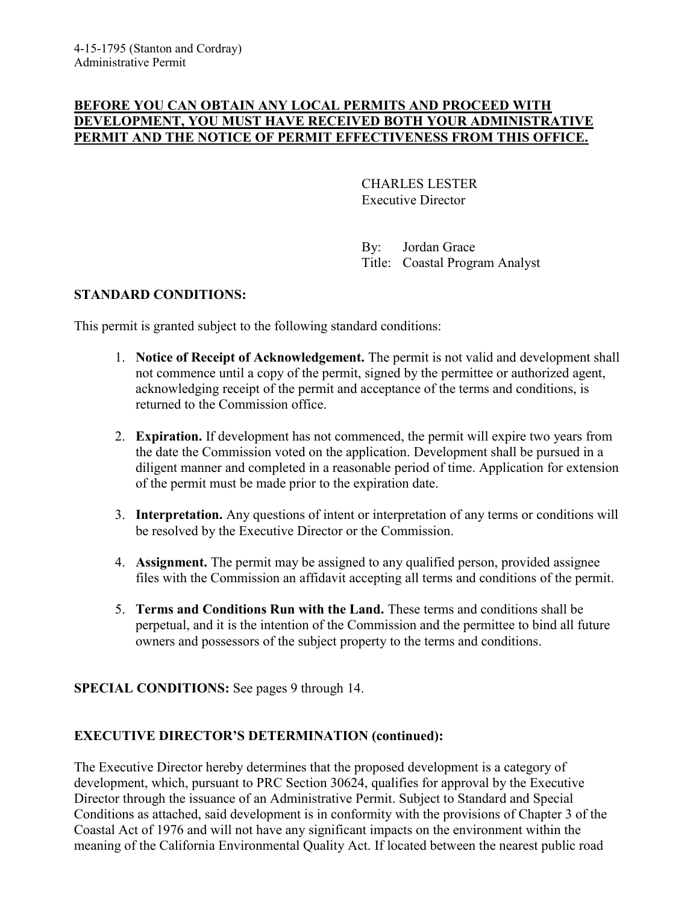#### **BEFORE YOU CAN OBTAIN ANY LOCAL PERMITS AND PROCEED WITH DEVELOPMENT, YOU MUST HAVE RECEIVED BOTH YOUR ADMINISTRATIVE PERMIT AND THE NOTICE OF PERMIT EFFECTIVENESS FROM THIS OFFICE.**

 CHARLES LESTER Executive Director

 By: Jordan Grace Title: Coastal Program Analyst

#### **STANDARD CONDITIONS:**

This permit is granted subject to the following standard conditions:

- 1. **Notice of Receipt of Acknowledgement.** The permit is not valid and development shall not commence until a copy of the permit, signed by the permittee or authorized agent, acknowledging receipt of the permit and acceptance of the terms and conditions, is returned to the Commission office.
- 2. **Expiration.** If development has not commenced, the permit will expire two years from the date the Commission voted on the application. Development shall be pursued in a diligent manner and completed in a reasonable period of time. Application for extension of the permit must be made prior to the expiration date.
- 3. **Interpretation.** Any questions of intent or interpretation of any terms or conditions will be resolved by the Executive Director or the Commission.
- 4. **Assignment.** The permit may be assigned to any qualified person, provided assignee files with the Commission an affidavit accepting all terms and conditions of the permit.
- 5. **Terms and Conditions Run with the Land.** These terms and conditions shall be perpetual, and it is the intention of the Commission and the permittee to bind all future owners and possessors of the subject property to the terms and conditions.

#### **SPECIAL CONDITIONS:** See pages 9 through 14.

## **EXECUTIVE DIRECTOR'S DETERMINATION (continued):**

The Executive Director hereby determines that the proposed development is a category of development, which, pursuant to PRC Section 30624, qualifies for approval by the Executive Director through the issuance of an Administrative Permit. Subject to Standard and Special Conditions as attached, said development is in conformity with the provisions of Chapter 3 of the Coastal Act of 1976 and will not have any significant impacts on the environment within the meaning of the California Environmental Quality Act. If located between the nearest public road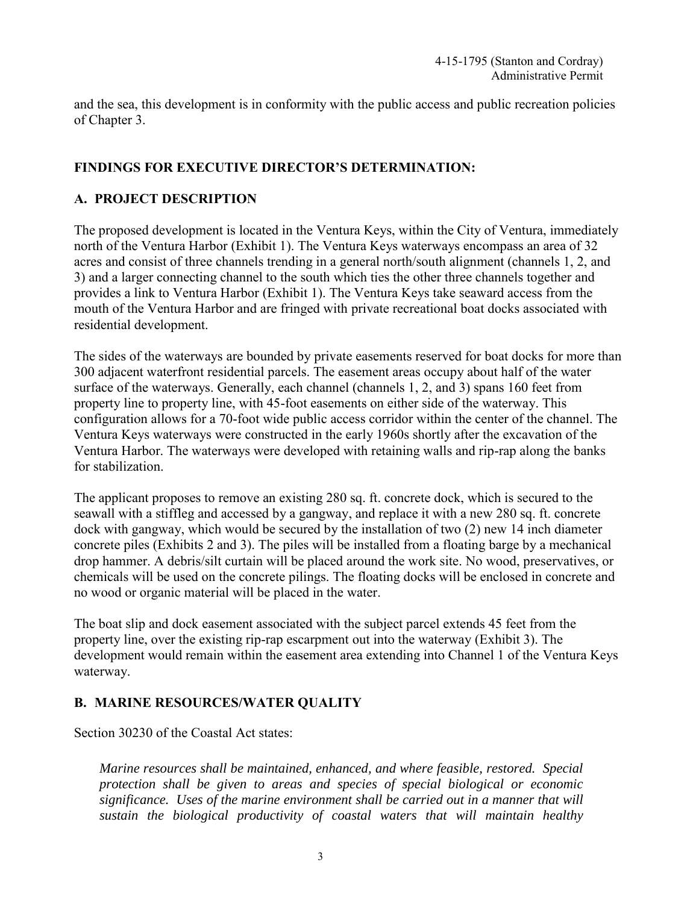and the sea, this development is in conformity with the public access and public recreation policies of Chapter 3.

#### **FINDINGS FOR EXECUTIVE DIRECTOR'S DETERMINATION:**

#### **A. PROJECT DESCRIPTION**

The proposed development is located in the Ventura Keys, within the City of Ventura, immediately north of the Ventura Harbor (Exhibit 1). The Ventura Keys waterways encompass an area of 32 acres and consist of three channels trending in a general north/south alignment (channels 1, 2, and 3) and a larger connecting channel to the south which ties the other three channels together and provides a link to Ventura Harbor (Exhibit 1). The Ventura Keys take seaward access from the mouth of the Ventura Harbor and are fringed with private recreational boat docks associated with residential development.

The sides of the waterways are bounded by private easements reserved for boat docks for more than 300 adjacent waterfront residential parcels. The easement areas occupy about half of the water surface of the waterways. Generally, each channel (channels 1, 2, and 3) spans 160 feet from property line to property line, with 45-foot easements on either side of the waterway. This configuration allows for a 70-foot wide public access corridor within the center of the channel. The Ventura Keys waterways were constructed in the early 1960s shortly after the excavation of the Ventura Harbor. The waterways were developed with retaining walls and rip-rap along the banks for stabilization.

The applicant proposes to remove an existing 280 sq. ft. concrete dock, which is secured to the seawall with a stiffleg and accessed by a gangway, and replace it with a new 280 sq. ft. concrete dock with gangway, which would be secured by the installation of two (2) new 14 inch diameter concrete piles (Exhibits 2 and 3). The piles will be installed from a floating barge by a mechanical drop hammer. A debris/silt curtain will be placed around the work site. No wood, preservatives, or chemicals will be used on the concrete pilings. The floating docks will be enclosed in concrete and no wood or organic material will be placed in the water.

The boat slip and dock easement associated with the subject parcel extends 45 feet from the property line, over the existing rip-rap escarpment out into the waterway (Exhibit 3). The development would remain within the easement area extending into Channel 1 of the Ventura Keys waterway.

#### **B. MARINE RESOURCES/WATER QUALITY**

Section 30230 of the Coastal Act states:

*Marine resources shall be maintained, enhanced, and where feasible, restored. Special protection shall be given to areas and species of special biological or economic significance. Uses of the marine environment shall be carried out in a manner that will sustain the biological productivity of coastal waters that will maintain healthy*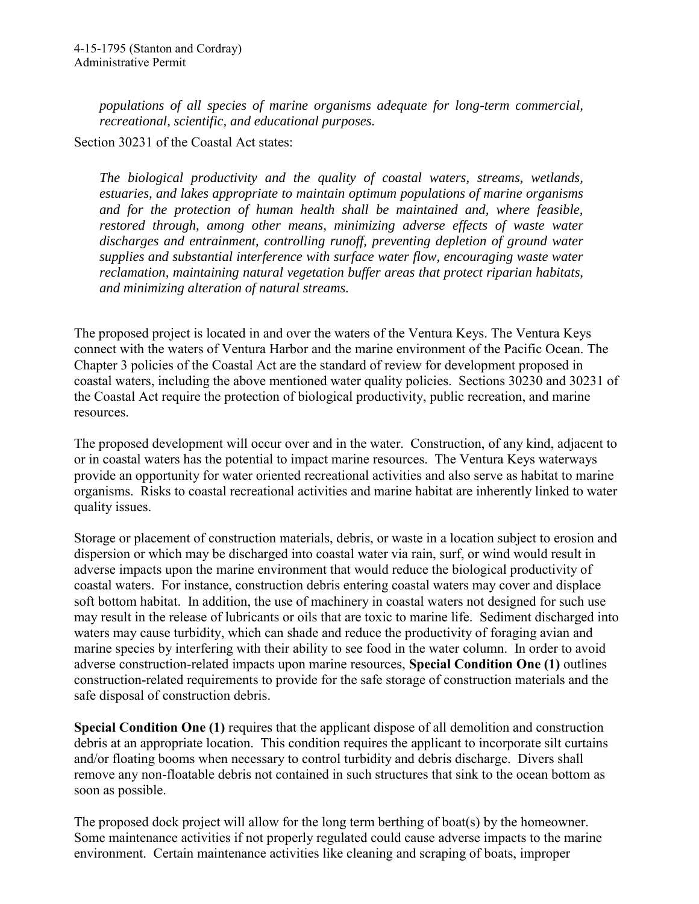*populations of all species of marine organisms adequate for long-term commercial, recreational, scientific, and educational purposes.* 

Section 30231 of the Coastal Act states:

*The biological productivity and the quality of coastal waters, streams, wetlands, estuaries, and lakes appropriate to maintain optimum populations of marine organisms and for the protection of human health shall be maintained and, where feasible, restored through, among other means, minimizing adverse effects of waste water discharges and entrainment, controlling runoff, preventing depletion of ground water supplies and substantial interference with surface water flow, encouraging waste water reclamation, maintaining natural vegetation buffer areas that protect riparian habitats, and minimizing alteration of natural streams.* 

The proposed project is located in and over the waters of the Ventura Keys. The Ventura Keys connect with the waters of Ventura Harbor and the marine environment of the Pacific Ocean. The Chapter 3 policies of the Coastal Act are the standard of review for development proposed in coastal waters, including the above mentioned water quality policies. Sections 30230 and 30231 of the Coastal Act require the protection of biological productivity, public recreation, and marine resources.

The proposed development will occur over and in the water. Construction, of any kind, adjacent to or in coastal waters has the potential to impact marine resources. The Ventura Keys waterways provide an opportunity for water oriented recreational activities and also serve as habitat to marine organisms. Risks to coastal recreational activities and marine habitat are inherently linked to water quality issues.

Storage or placement of construction materials, debris, or waste in a location subject to erosion and dispersion or which may be discharged into coastal water via rain, surf, or wind would result in adverse impacts upon the marine environment that would reduce the biological productivity of coastal waters. For instance, construction debris entering coastal waters may cover and displace soft bottom habitat. In addition, the use of machinery in coastal waters not designed for such use may result in the release of lubricants or oils that are toxic to marine life. Sediment discharged into waters may cause turbidity, which can shade and reduce the productivity of foraging avian and marine species by interfering with their ability to see food in the water column. In order to avoid adverse construction-related impacts upon marine resources, **Special Condition One (1)** outlines construction-related requirements to provide for the safe storage of construction materials and the safe disposal of construction debris.

**Special Condition One (1)** requires that the applicant dispose of all demolition and construction debris at an appropriate location. This condition requires the applicant to incorporate silt curtains and/or floating booms when necessary to control turbidity and debris discharge. Divers shall remove any non-floatable debris not contained in such structures that sink to the ocean bottom as soon as possible.

The proposed dock project will allow for the long term berthing of boat(s) by the homeowner. Some maintenance activities if not properly regulated could cause adverse impacts to the marine environment. Certain maintenance activities like cleaning and scraping of boats, improper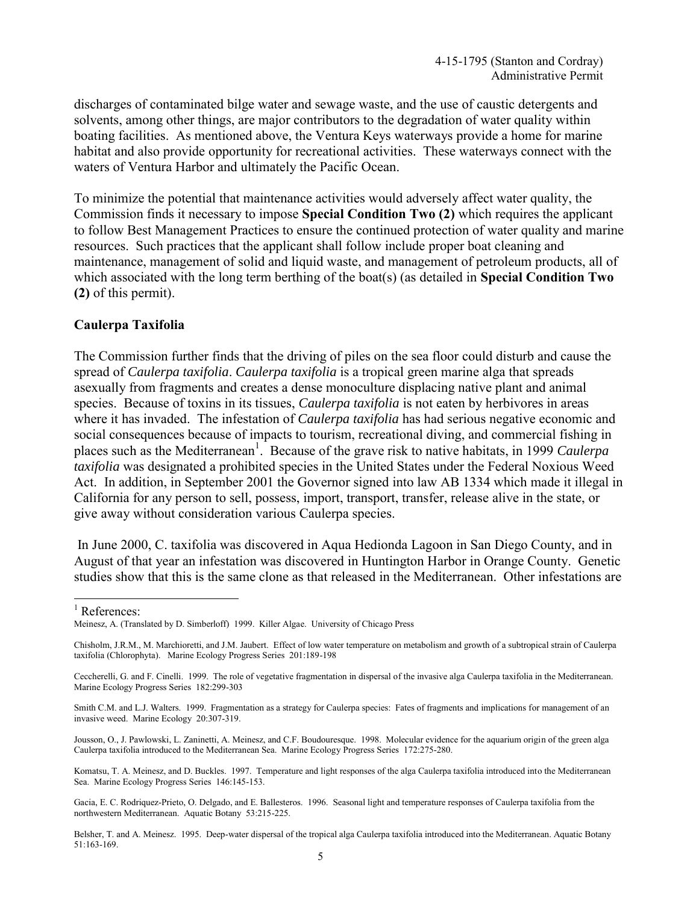discharges of contaminated bilge water and sewage waste, and the use of caustic detergents and solvents, among other things, are major contributors to the degradation of water quality within boating facilities. As mentioned above, the Ventura Keys waterways provide a home for marine habitat and also provide opportunity for recreational activities. These waterways connect with the waters of Ventura Harbor and ultimately the Pacific Ocean.

To minimize the potential that maintenance activities would adversely affect water quality, the Commission finds it necessary to impose **Special Condition Two (2)** which requires the applicant to follow Best Management Practices to ensure the continued protection of water quality and marine resources. Such practices that the applicant shall follow include proper boat cleaning and maintenance, management of solid and liquid waste, and management of petroleum products, all of which associated with the long term berthing of the boat(s) (as detailed in **Special Condition Two (2)** of this permit).

#### **Caulerpa Taxifolia**

The Commission further finds that the driving of piles on the sea floor could disturb and cause the spread of *Caulerpa taxifolia*. *Caulerpa taxifolia* is a tropical green marine alga that spreads asexually from fragments and creates a dense monoculture displacing native plant and animal species. Because of toxins in its tissues, *Caulerpa taxifolia* is not eaten by herbivores in areas where it has invaded. The infestation of *Caulerpa taxifolia* has had serious negative economic and social consequences because of impacts to tourism, recreational diving, and commercial fishing in places such as the Mediterranean<sup>1</sup>. Because of the grave risk to native habitats, in 1999 *Caulerpa taxifolia* was designated a prohibited species in the United States under the Federal Noxious Weed Act. In addition, in September 2001 the Governor signed into law AB 1334 which made it illegal in California for any person to sell, possess, import, transport, transfer, release alive in the state, or give away without consideration various Caulerpa species.

 In June 2000, C. taxifolia was discovered in Aqua Hedionda Lagoon in San Diego County, and in August of that year an infestation was discovered in Huntington Harbor in Orange County. Genetic studies show that this is the same clone as that released in the Mediterranean. Other infestations are

-

Jousson, O., J. Pawlowski, L. Zaninetti, A. Meinesz, and C.F. Boudouresque. 1998. Molecular evidence for the aquarium origin of the green alga Caulerpa taxifolia introduced to the Mediterranean Sea. Marine Ecology Progress Series 172:275-280.

Komatsu, T. A. Meinesz, and D. Buckles. 1997. Temperature and light responses of the alga Caulerpa taxifolia introduced into the Mediterranean Sea. Marine Ecology Progress Series 146:145-153.

Gacia, E. C. Rodriquez-Prieto, O. Delgado, and E. Ballesteros. 1996. Seasonal light and temperature responses of Caulerpa taxifolia from the northwestern Mediterranean. Aquatic Botany 53:215-225.

Belsher, T. and A. Meinesz. 1995. Deep-water dispersal of the tropical alga Caulerpa taxifolia introduced into the Mediterranean. Aquatic Botany 51:163-169.

<sup>&</sup>lt;sup>1</sup> References:

Meinesz, A. (Translated by D. Simberloff) 1999. Killer Algae. University of Chicago Press

Chisholm, J.R.M., M. Marchioretti, and J.M. Jaubert. Effect of low water temperature on metabolism and growth of a subtropical strain of Caulerpa taxifolia (Chlorophyta). Marine Ecology Progress Series 201:189-198

Ceccherelli, G. and F. Cinelli. 1999. The role of vegetative fragmentation in dispersal of the invasive alga Caulerpa taxifolia in the Mediterranean. Marine Ecology Progress Series 182:299-303

Smith C.M. and L.J. Walters. 1999. Fragmentation as a strategy for Caulerpa species: Fates of fragments and implications for management of an invasive weed. Marine Ecology 20:307-319.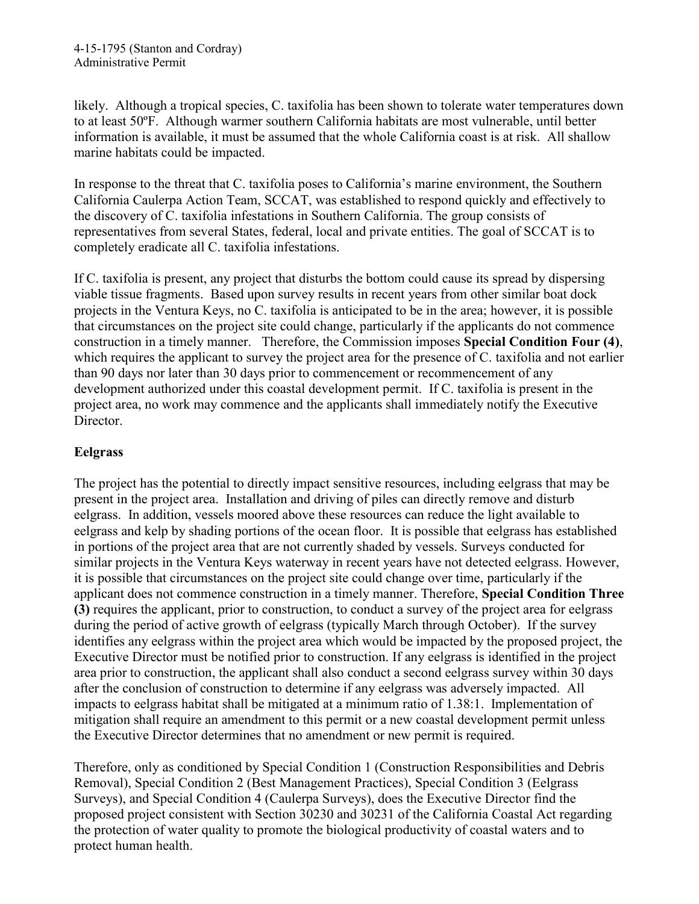likely. Although a tropical species, C. taxifolia has been shown to tolerate water temperatures down to at least 50ºF. Although warmer southern California habitats are most vulnerable, until better information is available, it must be assumed that the whole California coast is at risk. All shallow marine habitats could be impacted.

In response to the threat that C. taxifolia poses to California's marine environment, the Southern California Caulerpa Action Team, SCCAT, was established to respond quickly and effectively to the discovery of C. taxifolia infestations in Southern California. The group consists of representatives from several States, federal, local and private entities. The goal of SCCAT is to completely eradicate all C. taxifolia infestations.

If C. taxifolia is present, any project that disturbs the bottom could cause its spread by dispersing viable tissue fragments. Based upon survey results in recent years from other similar boat dock projects in the Ventura Keys, no C. taxifolia is anticipated to be in the area; however, it is possible that circumstances on the project site could change, particularly if the applicants do not commence construction in a timely manner. Therefore, the Commission imposes **Special Condition Four (4)**, which requires the applicant to survey the project area for the presence of C. taxifolia and not earlier than 90 days nor later than 30 days prior to commencement or recommencement of any development authorized under this coastal development permit. If C. taxifolia is present in the project area, no work may commence and the applicants shall immediately notify the Executive Director.

## **Eelgrass**

The project has the potential to directly impact sensitive resources, including eelgrass that may be present in the project area. Installation and driving of piles can directly remove and disturb eelgrass. In addition, vessels moored above these resources can reduce the light available to eelgrass and kelp by shading portions of the ocean floor. It is possible that eelgrass has established in portions of the project area that are not currently shaded by vessels. Surveys conducted for similar projects in the Ventura Keys waterway in recent years have not detected eelgrass. However, it is possible that circumstances on the project site could change over time, particularly if the applicant does not commence construction in a timely manner. Therefore, **Special Condition Three (3)** requires the applicant, prior to construction, to conduct a survey of the project area for eelgrass during the period of active growth of eelgrass (typically March through October). If the survey identifies any eelgrass within the project area which would be impacted by the proposed project, the Executive Director must be notified prior to construction. If any eelgrass is identified in the project area prior to construction, the applicant shall also conduct a second eelgrass survey within 30 days after the conclusion of construction to determine if any eelgrass was adversely impacted. All impacts to eelgrass habitat shall be mitigated at a minimum ratio of 1.38:1. Implementation of mitigation shall require an amendment to this permit or a new coastal development permit unless the Executive Director determines that no amendment or new permit is required.

Therefore, only as conditioned by Special Condition 1 (Construction Responsibilities and Debris Removal), Special Condition 2 (Best Management Practices), Special Condition 3 (Eelgrass Surveys), and Special Condition 4 (Caulerpa Surveys), does the Executive Director find the proposed project consistent with Section 30230 and 30231 of the California Coastal Act regarding the protection of water quality to promote the biological productivity of coastal waters and to protect human health.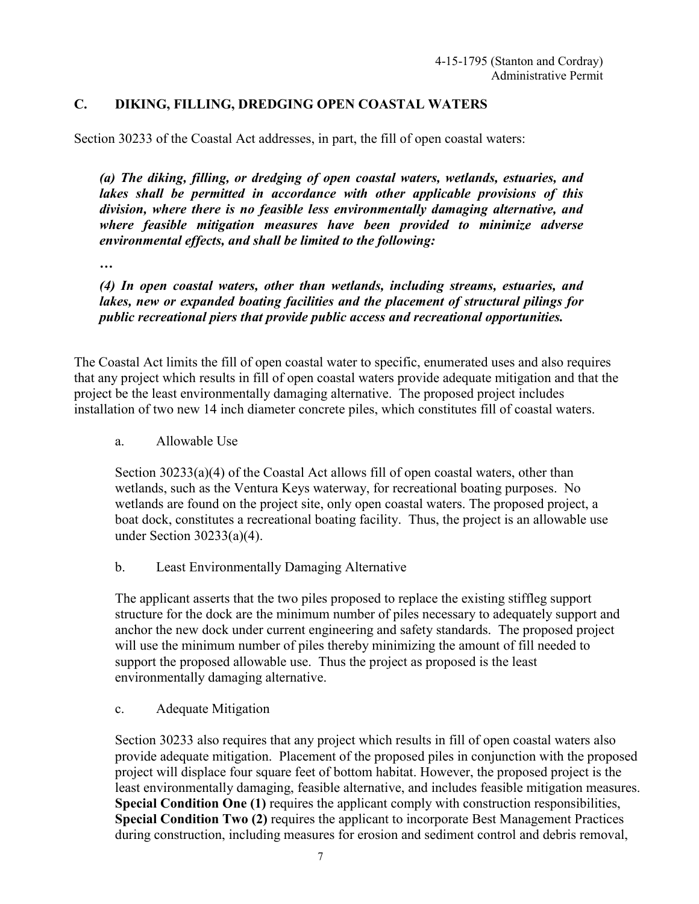#### **C. DIKING, FILLING, DREDGING OPEN COASTAL WATERS**

Section 30233 of the Coastal Act addresses, in part, the fill of open coastal waters:

*(a) The diking, filling, or dredging of open coastal waters, wetlands, estuaries, and lakes shall be permitted in accordance with other applicable provisions of this division, where there is no feasible less environmentally damaging alternative, and where feasible mitigation measures have been provided to minimize adverse environmental effects, and shall be limited to the following:* 

*…*

*(4) In open coastal waters, other than wetlands, including streams, estuaries, and lakes, new or expanded boating facilities and the placement of structural pilings for public recreational piers that provide public access and recreational opportunities.* 

The Coastal Act limits the fill of open coastal water to specific, enumerated uses and also requires that any project which results in fill of open coastal waters provide adequate mitigation and that the project be the least environmentally damaging alternative. The proposed project includes installation of two new 14 inch diameter concrete piles, which constitutes fill of coastal waters.

a. Allowable Use

Section 30233(a)(4) of the Coastal Act allows fill of open coastal waters, other than wetlands, such as the Ventura Keys waterway, for recreational boating purposes. No wetlands are found on the project site, only open coastal waters. The proposed project, a boat dock, constitutes a recreational boating facility. Thus, the project is an allowable use under Section 30233(a)(4).

b. Least Environmentally Damaging Alternative

The applicant asserts that the two piles proposed to replace the existing stiffleg support structure for the dock are the minimum number of piles necessary to adequately support and anchor the new dock under current engineering and safety standards. The proposed project will use the minimum number of piles thereby minimizing the amount of fill needed to support the proposed allowable use. Thus the project as proposed is the least environmentally damaging alternative.

c. Adequate Mitigation

Section 30233 also requires that any project which results in fill of open coastal waters also provide adequate mitigation. Placement of the proposed piles in conjunction with the proposed project will displace four square feet of bottom habitat. However, the proposed project is the least environmentally damaging, feasible alternative, and includes feasible mitigation measures. **Special Condition One (1)** requires the applicant comply with construction responsibilities, **Special Condition Two (2)** requires the applicant to incorporate Best Management Practices during construction, including measures for erosion and sediment control and debris removal,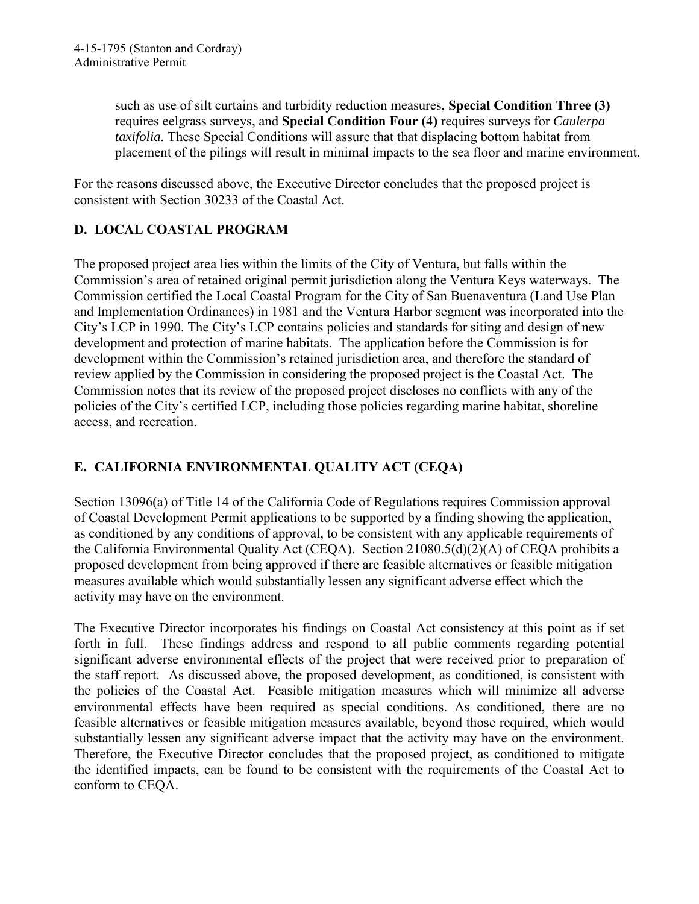such as use of silt curtains and turbidity reduction measures, **Special Condition Three (3)** requires eelgrass surveys, and **Special Condition Four (4)** requires surveys for *Caulerpa taxifolia.* These Special Conditions will assure that that displacing bottom habitat from placement of the pilings will result in minimal impacts to the sea floor and marine environment.

For the reasons discussed above, the Executive Director concludes that the proposed project is consistent with Section 30233 of the Coastal Act.

# **D. LOCAL COASTAL PROGRAM**

The proposed project area lies within the limits of the City of Ventura, but falls within the Commission's area of retained original permit jurisdiction along the Ventura Keys waterways. The Commission certified the Local Coastal Program for the City of San Buenaventura (Land Use Plan and Implementation Ordinances) in 1981 and the Ventura Harbor segment was incorporated into the City's LCP in 1990. The City's LCP contains policies and standards for siting and design of new development and protection of marine habitats. The application before the Commission is for development within the Commission's retained jurisdiction area, and therefore the standard of review applied by the Commission in considering the proposed project is the Coastal Act. The Commission notes that its review of the proposed project discloses no conflicts with any of the policies of the City's certified LCP, including those policies regarding marine habitat, shoreline access, and recreation.

## **E. CALIFORNIA ENVIRONMENTAL QUALITY ACT (CEQA)**

Section 13096(a) of Title 14 of the California Code of Regulations requires Commission approval of Coastal Development Permit applications to be supported by a finding showing the application, as conditioned by any conditions of approval, to be consistent with any applicable requirements of the California Environmental Quality Act (CEQA). Section 21080.5(d)(2)(A) of CEQA prohibits a proposed development from being approved if there are feasible alternatives or feasible mitigation measures available which would substantially lessen any significant adverse effect which the activity may have on the environment.

The Executive Director incorporates his findings on Coastal Act consistency at this point as if set forth in full. These findings address and respond to all public comments regarding potential significant adverse environmental effects of the project that were received prior to preparation of the staff report. As discussed above, the proposed development, as conditioned, is consistent with the policies of the Coastal Act. Feasible mitigation measures which will minimize all adverse environmental effects have been required as special conditions. As conditioned, there are no feasible alternatives or feasible mitigation measures available, beyond those required, which would substantially lessen any significant adverse impact that the activity may have on the environment. Therefore, the Executive Director concludes that the proposed project, as conditioned to mitigate the identified impacts, can be found to be consistent with the requirements of the Coastal Act to conform to CEQA.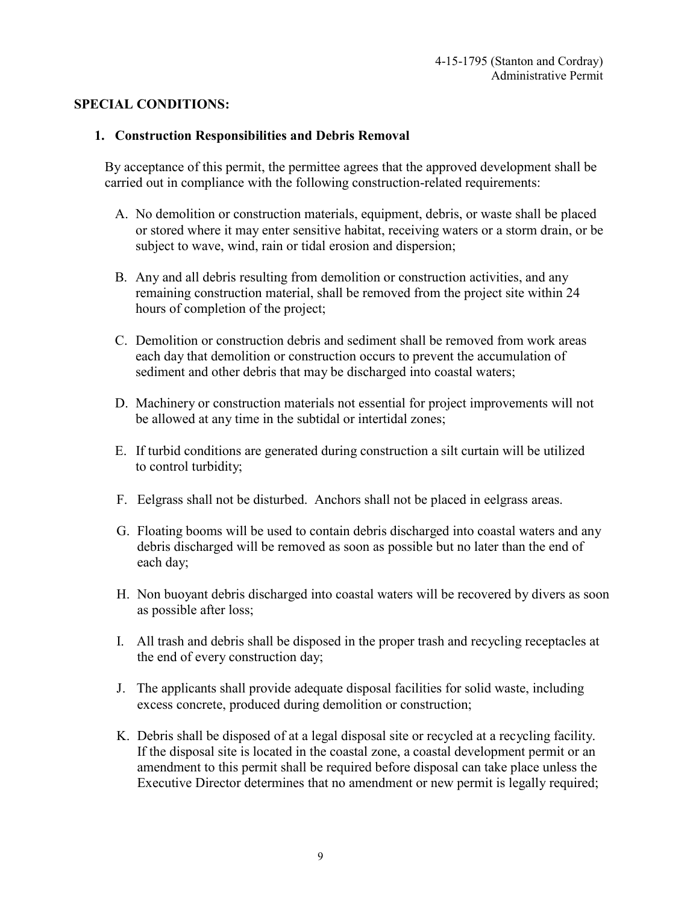#### **SPECIAL CONDITIONS:**

#### **1. Construction Responsibilities and Debris Removal**

By acceptance of this permit, the permittee agrees that the approved development shall be carried out in compliance with the following construction-related requirements:

- A. No demolition or construction materials, equipment, debris, or waste shall be placed or stored where it may enter sensitive habitat, receiving waters or a storm drain, or be subject to wave, wind, rain or tidal erosion and dispersion;
- B. Any and all debris resulting from demolition or construction activities, and any remaining construction material, shall be removed from the project site within 24 hours of completion of the project;
- C. Demolition or construction debris and sediment shall be removed from work areas each day that demolition or construction occurs to prevent the accumulation of sediment and other debris that may be discharged into coastal waters;
- D. Machinery or construction materials not essential for project improvements will not be allowed at any time in the subtidal or intertidal zones;
- E. If turbid conditions are generated during construction a silt curtain will be utilized to control turbidity;
- F. Eelgrass shall not be disturbed. Anchors shall not be placed in eelgrass areas.
- G. Floating booms will be used to contain debris discharged into coastal waters and any debris discharged will be removed as soon as possible but no later than the end of each day;
- H. Non buoyant debris discharged into coastal waters will be recovered by divers as soon as possible after loss;
- I. All trash and debris shall be disposed in the proper trash and recycling receptacles at the end of every construction day;
- J. The applicants shall provide adequate disposal facilities for solid waste, including excess concrete, produced during demolition or construction;
- K. Debris shall be disposed of at a legal disposal site or recycled at a recycling facility. If the disposal site is located in the coastal zone, a coastal development permit or an amendment to this permit shall be required before disposal can take place unless the Executive Director determines that no amendment or new permit is legally required;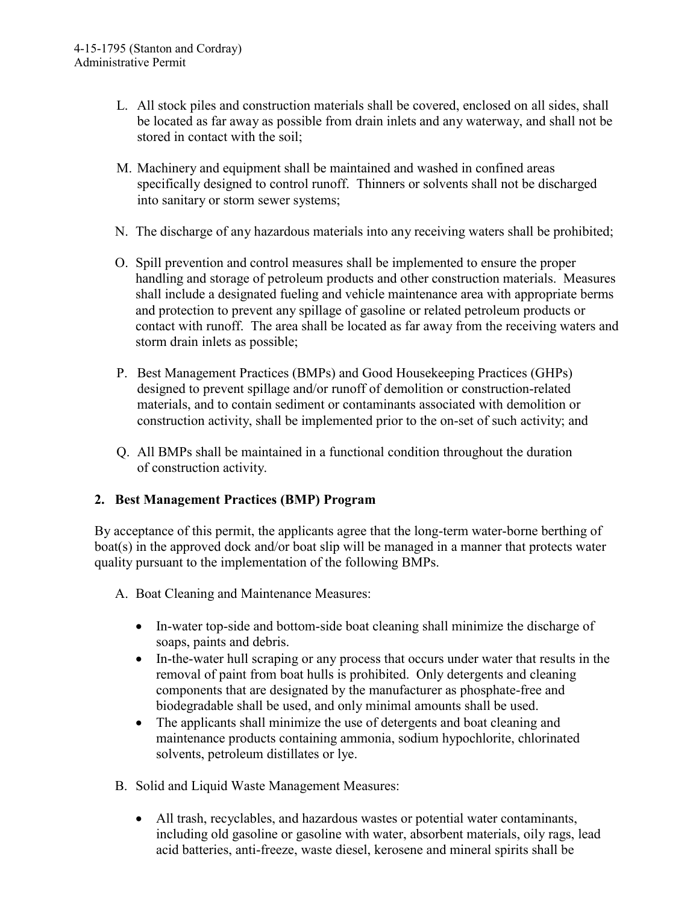- L. All stock piles and construction materials shall be covered, enclosed on all sides, shall be located as far away as possible from drain inlets and any waterway, and shall not be stored in contact with the soil;
- M. Machinery and equipment shall be maintained and washed in confined areas specifically designed to control runoff. Thinners or solvents shall not be discharged into sanitary or storm sewer systems;
- N. The discharge of any hazardous materials into any receiving waters shall be prohibited;
- O. Spill prevention and control measures shall be implemented to ensure the proper handling and storage of petroleum products and other construction materials. Measures shall include a designated fueling and vehicle maintenance area with appropriate berms and protection to prevent any spillage of gasoline or related petroleum products or contact with runoff. The area shall be located as far away from the receiving waters and storm drain inlets as possible;
- P. Best Management Practices (BMPs) and Good Housekeeping Practices (GHPs) designed to prevent spillage and/or runoff of demolition or construction-related materials, and to contain sediment or contaminants associated with demolition or construction activity, shall be implemented prior to the on-set of such activity; and
- Q. All BMPs shall be maintained in a functional condition throughout the duration of construction activity.

#### **2. Best Management Practices (BMP) Program**

By acceptance of this permit, the applicants agree that the long-term water-borne berthing of boat(s) in the approved dock and/or boat slip will be managed in a manner that protects water quality pursuant to the implementation of the following BMPs.

- A. Boat Cleaning and Maintenance Measures:
	- In-water top-side and bottom-side boat cleaning shall minimize the discharge of soaps, paints and debris.
	- In-the-water hull scraping or any process that occurs under water that results in the removal of paint from boat hulls is prohibited. Only detergents and cleaning components that are designated by the manufacturer as phosphate-free and biodegradable shall be used, and only minimal amounts shall be used.
	- The applicants shall minimize the use of detergents and boat cleaning and maintenance products containing ammonia, sodium hypochlorite, chlorinated solvents, petroleum distillates or lye.
- B. Solid and Liquid Waste Management Measures:
	- All trash, recyclables, and hazardous wastes or potential water contaminants, including old gasoline or gasoline with water, absorbent materials, oily rags, lead acid batteries, anti-freeze, waste diesel, kerosene and mineral spirits shall be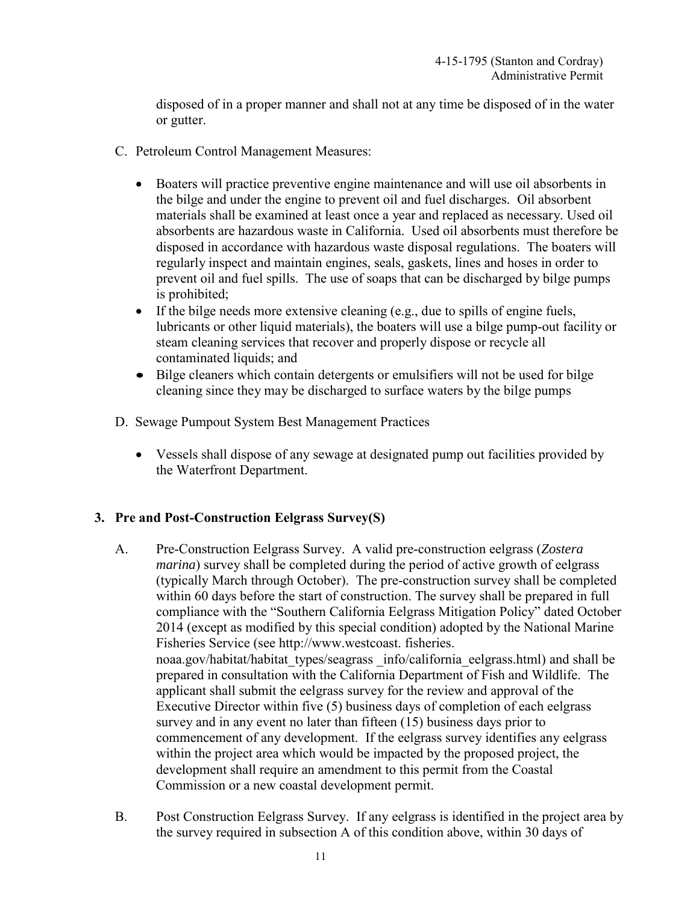disposed of in a proper manner and shall not at any time be disposed of in the water or gutter.

- C. Petroleum Control Management Measures:
	- Boaters will practice preventive engine maintenance and will use oil absorbents in the bilge and under the engine to prevent oil and fuel discharges. Oil absorbent materials shall be examined at least once a year and replaced as necessary. Used oil absorbents are hazardous waste in California. Used oil absorbents must therefore be disposed in accordance with hazardous waste disposal regulations. The boaters will regularly inspect and maintain engines, seals, gaskets, lines and hoses in order to prevent oil and fuel spills. The use of soaps that can be discharged by bilge pumps is prohibited;
	- If the bilge needs more extensive cleaning (e.g., due to spills of engine fuels, lubricants or other liquid materials), the boaters will use a bilge pump-out facility or steam cleaning services that recover and properly dispose or recycle all contaminated liquids; and
	- Bilge cleaners which contain detergents or emulsifiers will not be used for bilge cleaning since they may be discharged to surface waters by the bilge pumps
- D. Sewage Pumpout System Best Management Practices
	- Vessels shall dispose of any sewage at designated pump out facilities provided by the Waterfront Department.

#### **3. Pre and Post-Construction Eelgrass Survey(S)**

- A. Pre-Construction Eelgrass Survey. A valid pre-construction eelgrass (*Zostera marina*) survey shall be completed during the period of active growth of eelgrass (typically March through October). The pre-construction survey shall be completed within 60 days before the start of construction. The survey shall be prepared in full compliance with the "Southern California Eelgrass Mitigation Policy" dated October 2014 (except as modified by this special condition) adopted by the National Marine Fisheries Service (see http://www.westcoast. fisheries. noaa.gov/habitat/habitat\_types/seagrass \_info/california\_eelgrass.html) and shall be prepared in consultation with the California Department of Fish and Wildlife. The applicant shall submit the eelgrass survey for the review and approval of the Executive Director within five (5) business days of completion of each eelgrass survey and in any event no later than fifteen (15) business days prior to commencement of any development. If the eelgrass survey identifies any eelgrass within the project area which would be impacted by the proposed project, the development shall require an amendment to this permit from the Coastal Commission or a new coastal development permit.
- B. Post Construction Eelgrass Survey. If any eelgrass is identified in the project area by the survey required in subsection A of this condition above, within 30 days of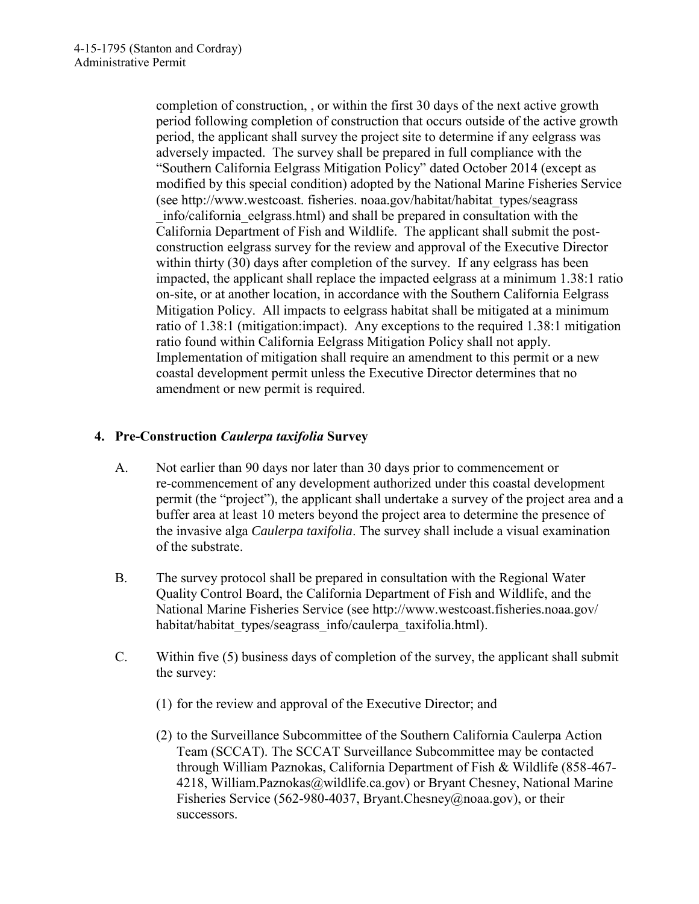completion of construction, , or within the first 30 days of the next active growth period following completion of construction that occurs outside of the active growth period, the applicant shall survey the project site to determine if any eelgrass was adversely impacted. The survey shall be prepared in full compliance with the "Southern California Eelgrass Mitigation Policy" dated October 2014 (except as modified by this special condition) adopted by the National Marine Fisheries Service (see http://www.westcoast. fisheries. noaa.gov/habitat/habitat\_types/seagrass \_info/california\_eelgrass.html) and shall be prepared in consultation with the California Department of Fish and Wildlife. The applicant shall submit the postconstruction eelgrass survey for the review and approval of the Executive Director within thirty (30) days after completion of the survey. If any eelgrass has been impacted, the applicant shall replace the impacted eelgrass at a minimum 1.38:1 ratio on-site, or at another location, in accordance with the Southern California Eelgrass Mitigation Policy. All impacts to eelgrass habitat shall be mitigated at a minimum ratio of 1.38:1 (mitigation:impact). Any exceptions to the required 1.38:1 mitigation ratio found within California Eelgrass Mitigation Policy shall not apply. Implementation of mitigation shall require an amendment to this permit or a new coastal development permit unless the Executive Director determines that no amendment or new permit is required.

### **4. Pre-Construction** *Caulerpa taxifolia* **Survey**

- A. Not earlier than 90 days nor later than 30 days prior to commencement or re-commencement of any development authorized under this coastal development permit (the "project"), the applicant shall undertake a survey of the project area and a buffer area at least 10 meters beyond the project area to determine the presence of the invasive alga *Caulerpa taxifolia*. The survey shall include a visual examination of the substrate.
- B. The survey protocol shall be prepared in consultation with the Regional Water Quality Control Board, the California Department of Fish and Wildlife, and the National Marine Fisheries Service (see http://www.westcoast.fisheries.noaa.gov/ habitat/habitat types/seagrass info/caulerpa taxifolia.html).
- C. Within five (5) business days of completion of the survey, the applicant shall submit the survey:
	- (1) for the review and approval of the Executive Director; and
	- (2) to the Surveillance Subcommittee of the Southern California Caulerpa Action Team (SCCAT). The SCCAT Surveillance Subcommittee may be contacted through William Paznokas, California Department of Fish & Wildlife (858-467- 4218, William.Paznokas@wildlife.ca.gov) or Bryant Chesney, National Marine Fisheries Service (562-980-4037, Bryant.Chesney@noaa.gov), or their successors.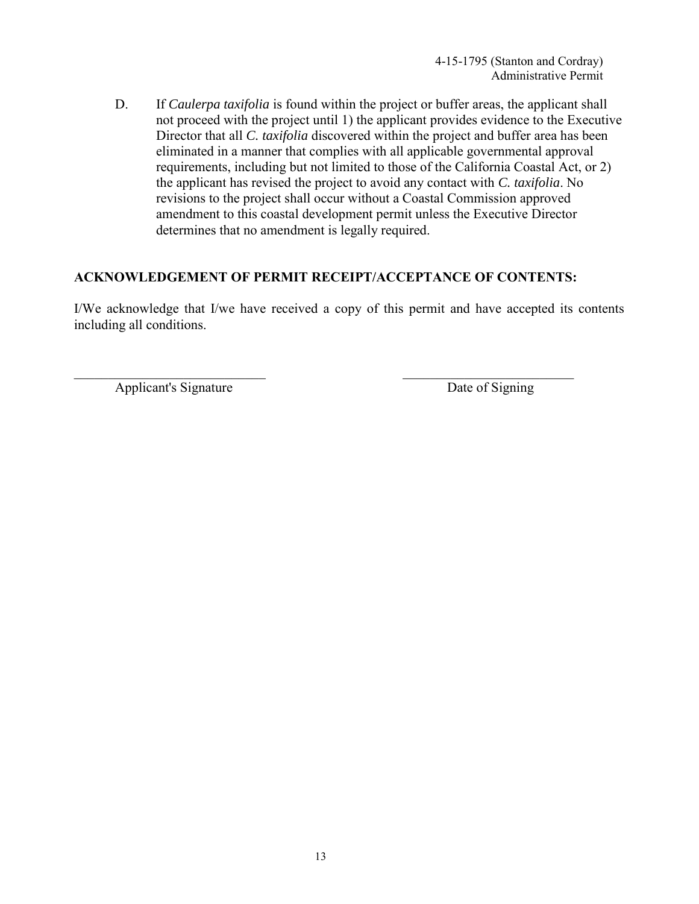D. If *Caulerpa taxifolia* is found within the project or buffer areas, the applicant shall not proceed with the project until 1) the applicant provides evidence to the Executive Director that all *C. taxifolia* discovered within the project and buffer area has been eliminated in a manner that complies with all applicable governmental approval requirements, including but not limited to those of the California Coastal Act, or 2) the applicant has revised the project to avoid any contact with *C. taxifolia*. No revisions to the project shall occur without a Coastal Commission approved amendment to this coastal development permit unless the Executive Director determines that no amendment is legally required.

#### **ACKNOWLEDGEMENT OF PERMIT RECEIPT/ACCEPTANCE OF CONTENTS:**

I/We acknowledge that I/we have received a copy of this permit and have accepted its contents including all conditions.

Applicant's Signature Date of Signing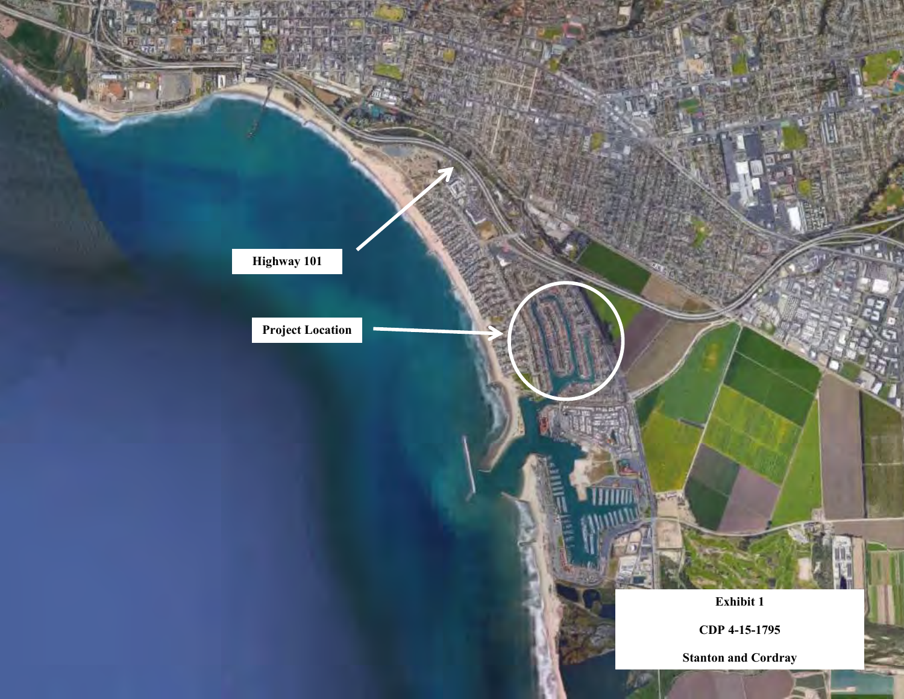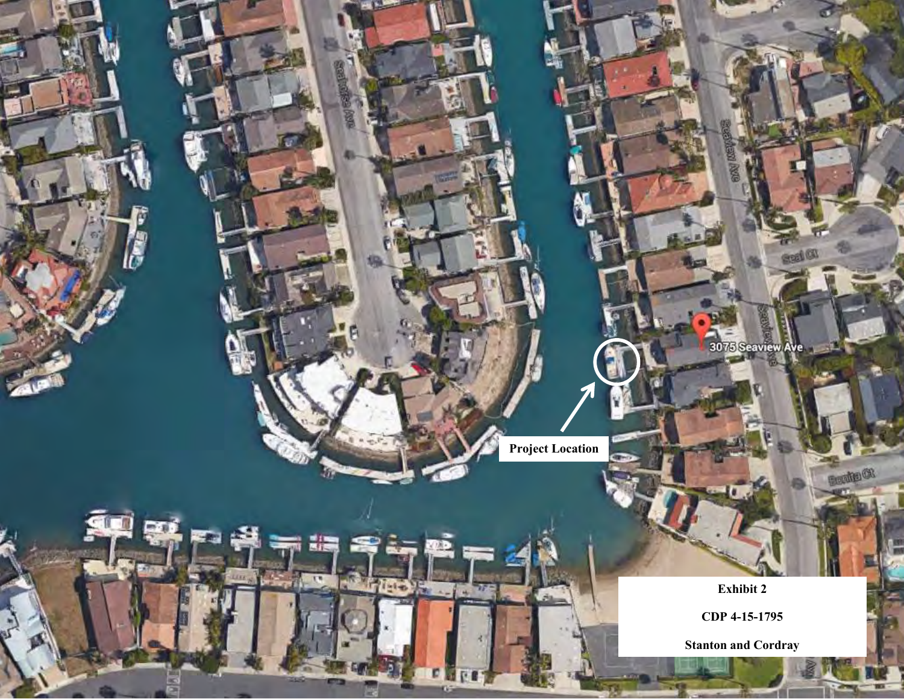